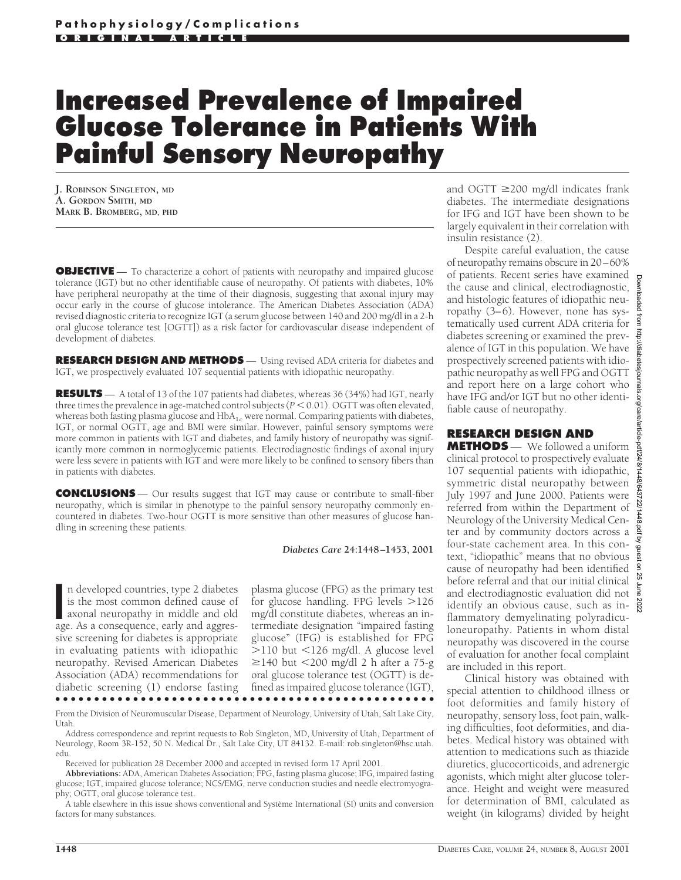## **Increased Prevalence of Impaired Glucose Tolerance in Patients With Painful Sensory Neuropathy**

**J. ROBINSON SINGLETON, MD A. GORDON SMITH, MD MARK B. BROMBERG, MD, PHD**

**OBJECTIVE** — To characterize a cohort of patients with neuropathy and impaired glucose tolerance (IGT) but no other identifiable cause of neuropathy. Of patients with diabetes, 10% have peripheral neuropathy at the time of their diagnosis, suggesting that axonal injury may occur early in the course of glucose intolerance. The American Diabetes Association (ADA) revised diagnostic criteria to recognize IGT (a serum glucose between 140 and 200 mg/dl in a 2-h oral glucose tolerance test [OGTT]) as a risk factor for cardiovascular disease independent of development of diabetes.

**RESEARCH DESIGN AND METHODS** — Using revised ADA criteria for diabetes and IGT, we prospectively evaluated 107 sequential patients with idiopathic neuropathy.

**RESULTS** — A total of 13 of the 107 patients had diabetes, whereas 36 (34%) had IGT, nearly three times the prevalence in age-matched control subjects  $(P < 0.01)$ . OGTT was often elevated, whereas both fasting plasma glucose and HbA<sub>1c</sub> were normal. Comparing patients with diabetes, IGT, or normal OGTT, age and BMI were similar. However, painful sensory symptoms were more common in patients with IGT and diabetes, and family history of neuropathy was significantly more common in normoglycemic patients. Electrodiagnostic findings of axonal injury were less severe in patients with IGT and were more likely to be confined to sensory fibers than in patients with diabetes.

**CONCLUSIONS** — Our results suggest that IGT may cause or contribute to small-fiber neuropathy, which is similar in phenotype to the painful sensory neuropathy commonly encountered in diabetes. Two-hour OGTT is more sensitive than other measures of glucose handling in screening these patients.

## *Diabetes Care* **24:1448–1453, 2001**

In developed countries, type 2 diabetes<br>is the most common defined cause of<br>axonal neuropathy in middle and old<br>age. As a consequence, early and aggresn developed countries, type 2 diabetes is the most common defined cause of axonal neuropathy in middle and old sive screening for diabetes is appropriate in evaluating patients with idiopathic neuropathy. Revised American Diabetes Association (ADA) recommendations for diabetic screening (1) endorse fasting ●●●●●●●●●●●●●●●●●●●●●●●●●●●●●●●●●●●●●●●●●●●●●●●●●

plasma glucose (FPG) as the primary test for glucose handling. FPG levels  $>126$ mg/dl constitute diabetes, whereas an intermediate designation "impaired fasting glucose" (IFG) is established for FPG  $>$ 110 but <126 mg/dl. A glucose level  $\geq$ 140 but <200 mg/dl 2 h after a 75-g oral glucose tolerance test (OGTT) is defined as impaired glucose tolerance (IGT),

From the Division of Neuromuscular Disease, Department of Neurology, University of Utah, Salt Lake City, Utah.

Address correspondence and reprint requests to Rob Singleton, MD, University of Utah, Department of Neurology, Room 3R-152, 50 N. Medical Dr., Salt Lake City, UT 84132. E-mail: rob.singleton@hsc.utah. edu.

Received for publication 28 December 2000 and accepted in revised form 17 April 2001.

**Abbreviations:** ADA, American Diabetes Association; FPG, fasting plasma glucose; IFG, impaired fasting glucose; IGT, impaired glucose tolerance; NCS/EMG, nerve conduction studies and needle electromyography; OGTT, oral glucose tolerance test.

A table elsewhere in this issue shows conventional and Système International (SI) units and conversion factors for many substances.

and OGTT  $\geq$ 200 mg/dl indicates frank diabetes. The intermediate designations for IFG and IGT have been shown to be largely equivalent in their correlation with insulin resistance (2).

Despite careful evaluation, the cause of neuropathy remains obscure in 20–60% of patients. Recent series have examined the cause and clinical, electrodiagnostic, and histologic features of idiopathic neuropathy (3–6). However, none has systematically used current ADA criteria for diabetes screening or examined the prevalence of IGT in this population. We have prospectively screened patients with idiopathic neuropathy as well FPG and OGTT and report here on a large cohort who have IFG and/or IGT but no other identifiable cause of neuropathy.

## **RESEARCH DESIGN AND**

**METHODS** — We followed a uniform clinical protocol to prospectively evaluate<br>107 sequential patients with idiopathic, 107 sequential patients with idiopathic, symmetric distal neuropathy between July 1997 and June 2000. Patients were referred from within the Department of Neurology of the University Medical Center and by community doctors across a four-state cachement area. In this context, "idiopathic" means that no obvious cause of neuropathy had been identified before referral and that our initial clinical and electrodiagnostic evaluation did not identify an obvious cause, such as inflammatory demyelinating polyradiculoneuropathy. Patients in whom distal neuropathy was discovered in the course of evaluation for another focal complaint are included in this report.

Clinical history was obtained with special attention to childhood illness or foot deformities and family history of neuropathy, sensory loss, foot pain, walking difficulties, foot deformities, and diabetes. Medical history was obtained with attention to medications such as thiazide diuretics, glucocorticoids, and adrenergic agonists, which might alter glucose tolerance. Height and weight were measured for determination of BMI, calculated as weight (in kilograms) divided by height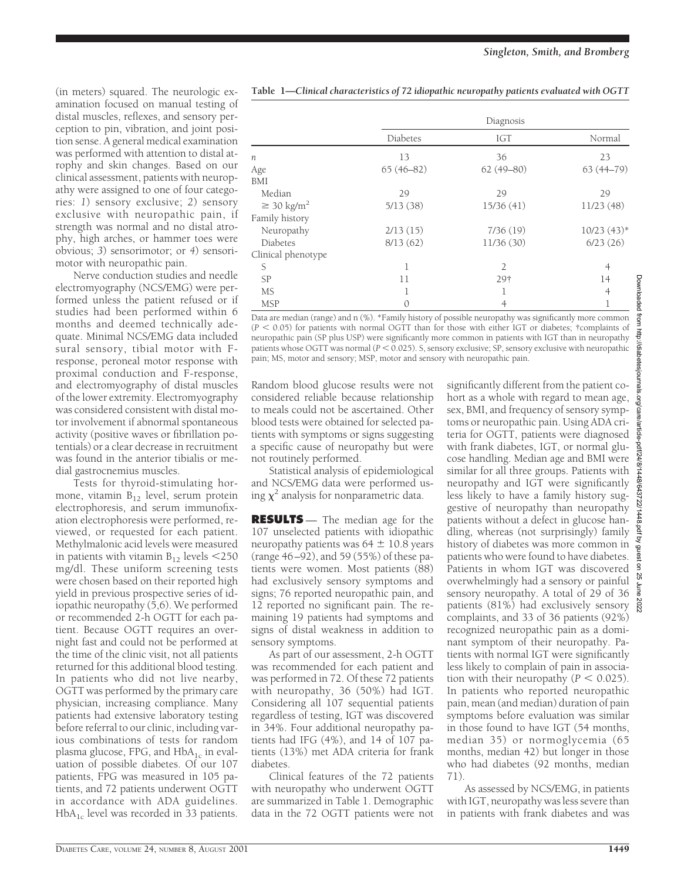(in meters) squared. The neurologic examination focused on manual testing of distal muscles, reflexes, and sensory perception to pin, vibration, and joint position sense. A general medical examination was performed with attention to distal atrophy and skin changes. Based on our clinical assessment, patients with neuropathy were assigned to one of four categories: *1*) sensory exclusive; *2*) sensory exclusive with neuropathic pain, if strength was normal and no distal atrophy, high arches, or hammer toes were obvious; *3*) sensorimotor; or *4*) sensorimotor with neuropathic pain.

Nerve conduction studies and needle electromyography (NCS/EMG) were performed unless the patient refused or if studies had been performed within 6 months and deemed technically adequate. Minimal NCS/EMG data included sural sensory, tibial motor with Fresponse, peroneal motor response with proximal conduction and F-response, and electromyography of distal muscles of the lower extremity. Electromyography was considered consistent with distal motor involvement if abnormal spontaneous activity (positive waves or fibrillation potentials) or a clear decrease in recruitment was found in the anterior tibialis or medial gastrocnemius muscles.

Tests for thyroid-stimulating hormone, vitamin  $B_{12}$  level, serum protein electrophoresis, and serum immunofixation electrophoresis were performed, reviewed, or requested for each patient. Methylmalonic acid levels were measured in patients with vitamin  $B_{12}$  levels  $\leq$ 250 mg/dl. These uniform screening tests were chosen based on their reported high yield in previous prospective series of idiopathic neuropathy (5,6). We performed or recommended 2-h OGTT for each patient. Because OGTT requires an overnight fast and could not be performed at the time of the clinic visit, not all patients returned for this additional blood testing. In patients who did not live nearby, OGTT was performed by the primary care physician, increasing compliance. Many patients had extensive laboratory testing before referral to our clinic, including various combinations of tests for random plasma glucose, FPG, and  $HbA_{1c}$  in evaluation of possible diabetes. Of our 107 patients, FPG was measured in 105 patients, and 72 patients underwent OGTT in accordance with ADA guidelines.  $HbA_{1c}$  level was recorded in 33 patients.

**Table 1—***Clinical characteristics of 72 idiopathic neuropathy patients evaluated with OGTT*

|                             | Diagnosis   |               |                           |  |
|-----------------------------|-------------|---------------|---------------------------|--|
|                             |             |               |                           |  |
|                             | Diabetes    | <b>IGT</b>    | Normal                    |  |
| n                           | 13          | 36            | 23                        |  |
| Age                         | $65(46-82)$ | $62(49 - 80)$ | $63(44 - 79)$             |  |
| BMI                         |             |               |                           |  |
| Median                      | 29          | 29            | 29                        |  |
| $\geq$ 30 kg/m <sup>2</sup> | 5/13(38)    | 15/36(41)     | 11/23(48)                 |  |
| Family history              |             |               |                           |  |
| Neuropathy                  | 2/13(15)    | 7/36(19)      | $10/23$ (43) <sup>*</sup> |  |
| Diabetes                    | 8/13(62)    | 11/36 (30)    | 6/23(26)                  |  |
| Clinical phenotype          |             |               |                           |  |
| S                           | 1           | $\mathcal{L}$ | 4                         |  |
| <b>SP</b>                   | 11          | 29†           | 14                        |  |
| <b>MS</b>                   | 1           |               | $\overline{4}$            |  |
| <b>MSP</b>                  | 0           | 4             |                           |  |

Data are median (range) and n (%). \*Family history of possible neuropathy was significantly more common (*P* , 0.05) for patients with normal OGTT than for those with either IGT or diabetes; †complaints of neuropathic pain (SP plus USP) were significantly more common in patients with IGT than in neuropathy patients whose OGTT was normal ( $P < 0.025$ ). S, sensory exclusive; SP, sensory exclusive with neuropathic pain; MS, motor and sensory; MSP, motor and sensory with neuropathic pain.

Random blood glucose results were not considered reliable because relationship to meals could not be ascertained. Other blood tests were obtained for selected patients with symptoms or signs suggesting a specific cause of neuropathy but were not routinely performed.

Statistical analysis of epidemiological and NCS/EMG data were performed using  $\chi^2$  analysis for nonparametric data.

**RESULTS** — The median age for the 107 unselected patients with idiopathic neuropathy patients was  $64 \pm 10.8$  years (range 46–92), and 59 (55%) of these patients were women. Most patients (88) had exclusively sensory symptoms and signs; 76 reported neuropathic pain, and 12 reported no significant pain. The remaining 19 patients had symptoms and signs of distal weakness in addition to sensory symptoms.

As part of our assessment, 2-h OGTT was recommended for each patient and was performed in 72. Of these 72 patients with neuropathy, 36 (50%) had IGT. Considering all 107 sequential patients regardless of testing, IGT was discovered in 34%. Four additional neuropathy patients had IFG (4%), and 14 of 107 patients (13%) met ADA criteria for frank diabetes.

Clinical features of the 72 patients with neuropathy who underwent OGTT are summarized in Table 1. Demographic data in the 72 OGTT patients were not

significantly different from the patient cohort as a whole with regard to mean age, sex, BMI, and frequency of sensory symptoms or neuropathic pain. Using ADA criteria for OGTT, patients were diagnosed with frank diabetes, IGT, or normal glucose handling. Median age and BMI were similar for all three groups. Patients with neuropathy and IGT were significantly less likely to have a family history suggestive of neuropathy than neuropathy patients without a defect in glucose handling, whereas (not surprisingly) family history of diabetes was more common in patients who were found to have diabetes. Patients in whom IGT was discovered overwhelmingly had a sensory or painful sensory neuropathy. A total of 29 of 36 patients (81%) had exclusively sensory complaints, and 33 of 36 patients (92%) recognized neuropathic pain as a dominant symptom of their neuropathy. Patients with normal IGT were significantly less likely to complain of pain in association with their neuropathy  $(P < 0.025)$ . In patients who reported neuropathic pain, mean (and median) duration of pain symptoms before evaluation was similar in those found to have IGT (54 months, median 35) or normoglycemia (65 months, median 42) but longer in those who had diabetes (92 months, median 71).

As assessed by NCS/EMG, in patients with IGT, neuropathy was less severe than in patients with frank diabetes and was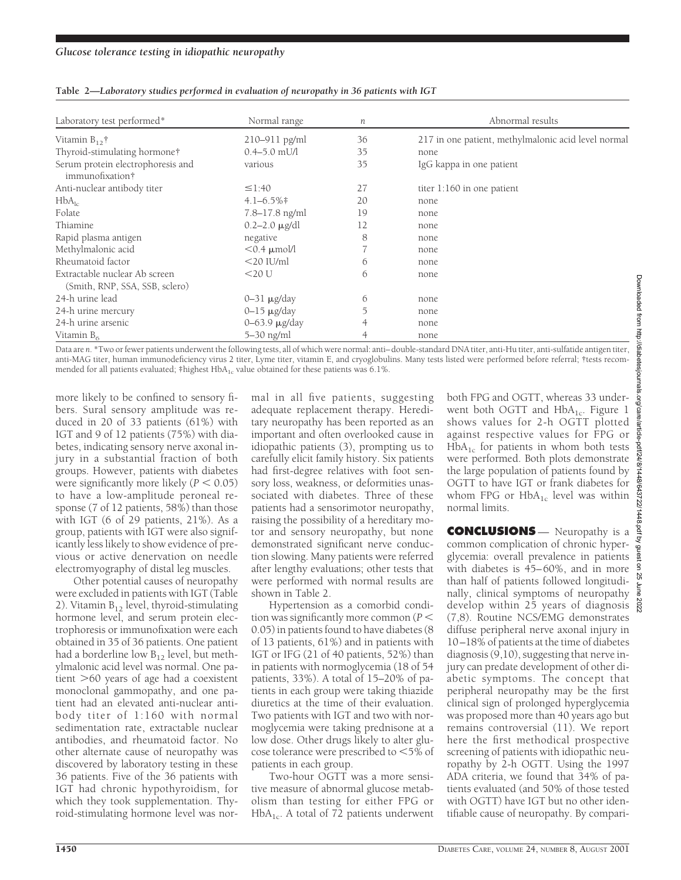| Laboratory test performed*                                      | Normal range           | n  | Abnormal results                                    |
|-----------------------------------------------------------------|------------------------|----|-----------------------------------------------------|
| Vitamin $B_{12}$ †                                              | $210 - 911$ pg/ml      | 36 | 217 in one patient, methylmalonic acid level normal |
| Thyroid-stimulating hormone†                                    | $0.4 - 5.0$ mU/l       | 35 | none                                                |
| Serum protein electrophoresis and<br>immunofixation†            | various                | 35 | IgG kappa in one patient                            |
| Anti-nuclear antibody titer                                     | $\leq$ 1:40            | 27 | titer 1:160 in one patient                          |
| $HbA_{1c}$                                                      | $4.1 - 6.5\%$          | 20 | none                                                |
| Folate                                                          | $7.8 - 17.8$ ng/ml     | 19 | none                                                |
| Thiamine                                                        | $0.2 - 2.0 \mu g/dl$   | 12 | none                                                |
| Rapid plasma antigen                                            | negative               | 8  | none                                                |
| Methylmalonic acid                                              | $< 0.4$ $\mu$ mol/l    |    | none                                                |
| Rheumatoid factor                                               | $<$ 20 IU/ml           | 6  | none                                                |
| Extractable nuclear Ab screen<br>(Smith, RNP, SSA, SSB, sclero) | $<$ 20 U               | 6  | none                                                |
| 24-h urine lead                                                 | $0 - 31$ $\mu$ g/day   | 6  | none                                                |
| 24-h urine mercury                                              | $0-15$ $\mu$ g/day     | 5  | none                                                |
| 24-h urine arsenic                                              | $0 - 63.9$ $\mu$ g/day | 4  | none                                                |
| Vitamin B <sub>6</sub>                                          | 5-30 ng/ml             | 4  | none                                                |

| Table 2-Laboratory studies performed in evaluation of neuropathy in 36 patients with IGT |  |  |
|------------------------------------------------------------------------------------------|--|--|
|------------------------------------------------------------------------------------------|--|--|

Data are *n*. \*Two or fewer patients underwent the following tests, all of which were normal: anti–double-standard DNA titer, anti-Hu titer, anti-sulfatide antigen titer, anti-MAG titer, human immunodeficiency virus 2 titer, Lyme titer, vitamin E, and cryoglobulins. Many tests listed were performed before referral; †tests recommended for all patients evaluated;  $\frac{1}{2}$  highest HbA<sub>1c</sub> value obtained for these patients was 6.1%.

more likely to be confined to sensory fibers. Sural sensory amplitude was reduced in 20 of 33 patients (61%) with IGT and 9 of 12 patients (75%) with diabetes, indicating sensory nerve axonal injury in a substantial fraction of both groups. However, patients with diabetes were significantly more likely  $(P < 0.05)$ to have a low-amplitude peroneal response (7 of 12 patients, 58%) than those with IGT (6 of 29 patients, 21%). As a group, patients with IGT were also significantly less likely to show evidence of previous or active denervation on needle electromyography of distal leg muscles.

Other potential causes of neuropathy were excluded in patients with IGT (Table 2). Vitamin  $B_{12}$  level, thyroid-stimulating hormone level, and serum protein electrophoresis or immunofixation were each obtained in 35 of 36 patients. One patient had a borderline low  $B_{12}$  level, but methylmalonic acid level was normal. One patient  $>60$  years of age had a coexistent monoclonal gammopathy, and one patient had an elevated anti-nuclear antibody titer of 1:160 with normal sedimentation rate, extractable nuclear antibodies, and rheumatoid factor. No other alternate cause of neuropathy was discovered by laboratory testing in these 36 patients. Five of the 36 patients with IGT had chronic hypothyroidism, for which they took supplementation. Thyroid-stimulating hormone level was normal in all five patients, suggesting adequate replacement therapy. Hereditary neuropathy has been reported as an important and often overlooked cause in idiopathic patients (3), prompting us to carefully elicit family history. Six patients had first-degree relatives with foot sensory loss, weakness, or deformities unassociated with diabetes. Three of these patients had a sensorimotor neuropathy, raising the possibility of a hereditary motor and sensory neuropathy, but none demonstrated significant nerve conduction slowing. Many patients were referred after lengthy evaluations; other tests that were performed with normal results are shown in Table 2.

Hypertension as a comorbid condition was significantly more common  $(P \leq$ 0.05) in patients found to have diabetes (8 of 13 patients, 61%) and in patients with IGT or IFG (21 of 40 patients, 52%) than in patients with normoglycemia (18 of 54 patients, 33%). A total of 15–20% of patients in each group were taking thiazide diuretics at the time of their evaluation. Two patients with IGT and two with normoglycemia were taking prednisone at a low dose. Other drugs likely to alter glucose tolerance were prescribed to  $<5\%$  of patients in each group.

Two-hour OGTT was a more sensitive measure of abnormal glucose metabolism than testing for either FPG or  $HbA_{1c}$ . A total of 72 patients underwent both FPG and OGTT, whereas 33 underwent both OGTT and HbA<sub>1c</sub>. Figure 1 shows values for 2-h OGTT plotted against respective values for FPG or  $HbA_{1c}$  for patients in whom both tests were performed. Both plots demonstrate the large population of patients found by OGTT to have IGT or frank diabetes for whom FPG or  $HbA_{1c}$  level was within normal limits.

**CONCLUSIONS** — Neuropathy is a common complication of chronic hyperglycemia: overall prevalence in patients with diabetes is 45–60%, and in more than half of patients followed longitudinally, clinical symptoms of neuropathy develop within 25 years of diagnosis (7,8). Routine NCS/EMG demonstrates diffuse peripheral nerve axonal injury in 10–18% of patients at the time of diabetes diagnosis (9,10), suggesting that nerve injury can predate development of other diabetic symptoms. The concept that peripheral neuropathy may be the first clinical sign of prolonged hyperglycemia was proposed more than 40 years ago but remains controversial (11). We report here the first methodical prospective screening of patients with idiopathic neuropathy by 2-h OGTT. Using the 1997 ADA criteria, we found that 34% of patients evaluated (and 50% of those tested with OGTT) have IGT but no other identifiable cause of neuropathy. By compari-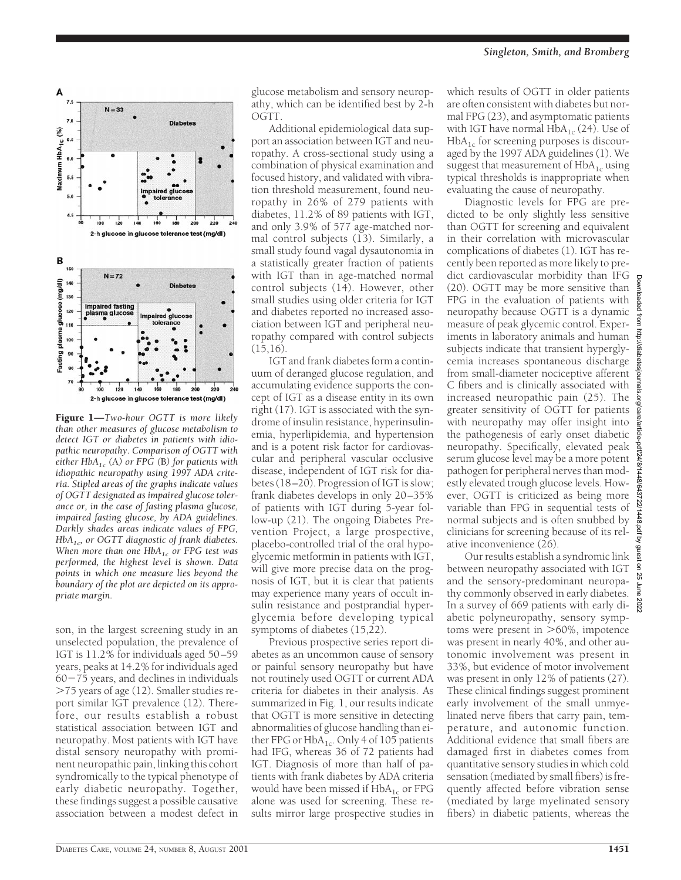

Figure 1—*Two-hour OGTT is more likely than other measures of glucose metabolism to detect IGT or diabetes in patients with idiopathic neuropathy. Comparison of OGTT with either HbA1c (*A*) or FPG (*B*) for patients with idiopathic neuropathy using 1997 ADA criteria. Stipled areas of the graphs indicate values of OGTT designated as impaired glucose tolerance or, in the case of fasting plasma glucose, impaired fasting glucose, by ADA guidelines. Darkly shades areas indicate values of FPG, HbA1c, or OGTT diagnostic of frank diabetes. When more than one HbA1c or FPG test was performed, the highest level is shown. Data points in which one measure lies beyond the boundary of the plot are depicted on its appropriate margin.*

son, in the largest screening study in an unselected population, the prevalence of IGT is 11.2% for individuals aged 50–59 years, peaks at 14.2% for individuals aged  $60-75$  years, and declines in individuals .75 years of age (12). Smaller studies report similar IGT prevalence (12). Therefore, our results establish a robust statistical association between IGT and neuropathy. Most patients with IGT have distal sensory neuropathy with prominent neuropathic pain, linking this cohort syndromically to the typical phenotype of early diabetic neuropathy. Together, these findings suggest a possible causative association between a modest defect in

glucose metabolism and sensory neuropathy, which can be identified best by 2-h OGTT.

Additional epidemiological data support an association between IGT and neuropathy. A cross-sectional study using a combination of physical examination and focused history, and validated with vibration threshold measurement, found neuropathy in 26% of 279 patients with diabetes, 11.2% of 89 patients with IGT, and only 3.9% of 577 age-matched normal control subjects (13). Similarly, a small study found vagal dysautonomia in a statistically greater fraction of patients with IGT than in age-matched normal control subjects (14). However, other small studies using older criteria for IGT and diabetes reported no increased association between IGT and peripheral neuropathy compared with control subjects  $(15,16)$ .

IGT and frank diabetes form a continuum of deranged glucose regulation, and accumulating evidence supports the concept of IGT as a disease entity in its own right (17). IGT is associated with the syndrome of insulin resistance, hyperinsulinemia, hyperlipidemia, and hypertension and is a potent risk factor for cardiovascular and peripheral vascular occlusive disease, independent of IGT risk for diabetes (18–20). Progression of IGT is slow; frank diabetes develops in only 20–35% of patients with IGT during 5-year follow-up (21). The ongoing Diabetes Prevention Project, a large prospective, placebo-controlled trial of the oral hypoglycemic metformin in patients with IGT, will give more precise data on the prognosis of IGT, but it is clear that patients may experience many years of occult insulin resistance and postprandial hyperglycemia before developing typical symptoms of diabetes (15,22).

Previous prospective series report diabetes as an uncommon cause of sensory or painful sensory neuropathy but have not routinely used OGTT or current ADA criteria for diabetes in their analysis. As summarized in Fig. 1, our results indicate that OGTT is more sensitive in detecting abnormalities of glucose handling than either FPG or  $HbA_{1c}$ . Only 4 of 105 patients had IFG, whereas 36 of 72 patients had IGT. Diagnosis of more than half of patients with frank diabetes by ADA criteria would have been missed if  $HbA_{1c}$  or FPG alone was used for screening. These results mirror large prospective studies in

which results of OGTT in older patients are often consistent with diabetes but normal FPG (23), and asymptomatic patients with IGT have normal  $HbA_{1c}$  (24). Use of  $HbA_{1c}$  for screening purposes is discouraged by the 1997 ADA guidelines (1). We suggest that measurement of  $HbA_{1c}$  using typical thresholds is inappropriate when evaluating the cause of neuropathy.

Diagnostic levels for FPG are predicted to be only slightly less sensitive than OGTT for screening and equivalent in their correlation with microvascular complications of diabetes (1). IGT has recently been reported as more likely to predict cardiovascular morbidity than IFG (20). OGTT may be more sensitive than FPG in the evaluation of patients with neuropathy because OGTT is a dynamic measure of peak glycemic control. Experiments in laboratory animals and human subjects indicate that transient hyperglycemia increases spontaneous discharge from small-diameter nociceptive afferent C fibers and is clinically associated with increased neuropathic pain (25). The greater sensitivity of OGTT for patients with neuropathy may offer insight into the pathogenesis of early onset diabetic neuropathy. Specifically, elevated peak serum glucose level may be a more potent pathogen for peripheral nerves than modestly elevated trough glucose levels. However, OGTT is criticized as being more variable than FPG in sequential tests of normal subjects and is often snubbed by clinicians for screening because of its relative inconvenience (26).

Our results establish a syndromic link between neuropathy associated with IGT and the sensory-predominant neuropathy commonly observed in early diabetes. In a survey of 669 patients with early diabetic polyneuropathy, sensory symptoms were present in  $>60\%$ , impotence was present in nearly 40%, and other autonomic involvement was present in 33%, but evidence of motor involvement was present in only 12% of patients (27). These clinical findings suggest prominent early involvement of the small unmyelinated nerve fibers that carry pain, temperature, and autonomic function. Additional evidence that small fibers are damaged first in diabetes comes from quantitative sensory studies in which cold sensation (mediated by small fibers) is frequently affected before vibration sense (mediated by large myelinated sensory fibers) in diabetic patients, whereas the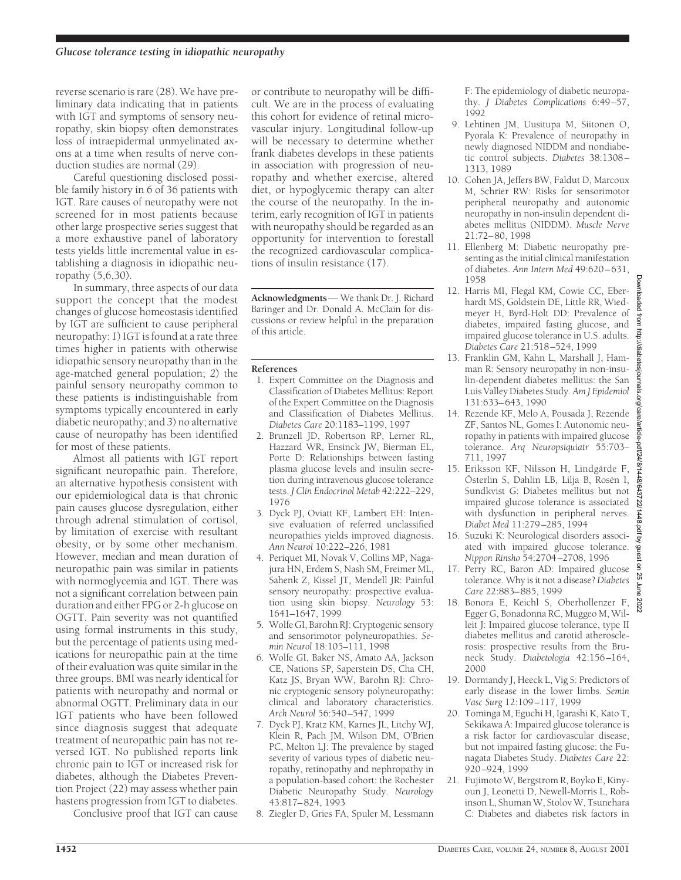reverse scenario is rare (28). We have preliminary data indicating that in patients with IGT and symptoms of sensory neuropathy, skin biopsy often demonstrates loss of intraepidermal unmyelinated axons at a time when results of nerve conduction studies are normal (29).

Careful questioning disclosed possible family history in 6 of 36 patients with IGT. Rare causes of neuropathy were not screened for in most patients because other large prospective series suggest that a more exhaustive panel of laboratory tests yields little incremental value in establishing a diagnosis in idiopathic neuropathy (5,6,30).

In summary, three aspects of our data support the concept that the modest changes of glucose homeostasis identified by IGT are sufficient to cause peripheral neuropathy: *1*) IGT is found at a rate three times higher in patients with otherwise idiopathic sensory neuropathy than in the age-matched general population; *2*) the painful sensory neuropathy common to these patients is indistinguishable from symptoms typically encountered in early diabetic neuropathy; and *3*) no alternative cause of neuropathy has been identified for most of these patients.

Almost all patients with IGT report significant neuropathic pain. Therefore, an alternative hypothesis consistent with our epidemiological data is that chronic pain causes glucose dysregulation, either through adrenal stimulation of cortisol, by limitation of exercise with resultant obesity, or by some other mechanism. However, median and mean duration of neuropathic pain was similar in patients with normoglycemia and IGT. There was not a significant correlation between pain duration and either FPG or 2-h glucose on OGTT. Pain severity was not quantified using formal instruments in this study, but the percentage of patients using medications for neuropathic pain at the time of their evaluation was quite similar in the three groups. BMI was nearly identical for patients with neuropathy and normal or abnormal OGTT. Preliminary data in our IGT patients who have been followed since diagnosis suggest that adequate treatment of neuropathic pain has not reversed IGT. No published reports link chronic pain to IGT or increased risk for diabetes, although the Diabetes Prevention Project (22) may assess whether pain hastens progression from IGT to diabetes.

Conclusive proof that IGT can cause

or contribute to neuropathy will be difficult. We are in the process of evaluating this cohort for evidence of retinal microvascular injury. Longitudinal follow-up will be necessary to determine whether frank diabetes develops in these patients in association with progression of neuropathy and whether exercise, altered diet, or hypoglycemic therapy can alter the course of the neuropathy. In the interim, early recognition of IGT in patients with neuropathy should be regarded as an opportunity for intervention to forestall the recognized cardiovascular complications of insulin resistance (17).

**Acknowledgments**— We thank Dr. J. Richard Baringer and Dr. Donald A. McClain for discussions or review helpful in the preparation of this article.

## **References**

- 1. Expert Committee on the Diagnosis and Classification of Diabetes Mellitus: Report of the Expert Committee on the Diagnosis and Classification of Diabetes Mellitus. *Diabetes Care* 20:1183–1199, 1997
- 2. Brunzell JD, Robertson RP, Lerner RL, Hazzard WR, Ensinck JW, Bierman EL, Porte D: Relationships between fasting plasma glucose levels and insulin secretion during intravenous glucose tolerance tests. *J Clin Endocrinol Metab* 42:222–229, 1976
- 3. Dyck PJ, Oviatt KF, Lambert EH: Intensive evaluation of referred unclassified neuropathies yields improved diagnosis. *Ann Neurol* 10:222–226, 1981
- 4. Periquet MI, Novak V, Collins MP, Nagajura HN, Erdem S, Nash SM, Freimer ML, Sahenk Z, Kissel JT, Mendell JR: Painful sensory neuropathy: prospective evaluation using skin biopsy. *Neurology* 53: 1641–1647, 1999
- 5. Wolfe GI, Barohn RJ: Cryptogenic sensory and sensorimotor polyneuropathies. *Semin Neurol* 18:105–111, 1998
- 6. Wolfe GI, Baker NS, Amato AA, Jackson CE, Nations SP, Saperstein DS, Cha CH, Katz JS, Bryan WW, Barohn RJ: Chronic cryptogenic sensory polyneuropathy: clinical and laboratory characteristics. *Arch Neurol* 56:540–547, 1999
- 7. Dyck PJ, Kratz KM, Karnes JL, Litchy WJ, Klein R, Pach JM, Wilson DM, O'Brien PC, Melton LJ: The prevalence by staged severity of various types of diabetic neuropathy, retinopathy and nephropathy in a population-based cohort: the Rochester Diabetic Neuropathy Study. *Neurology* 43:817–824, 1993
- 8. Ziegler D, Gries FA, Spuler M, Lessmann

F: The epidemiology of diabetic neuropathy. *J Diabetes Complications* 6:49–57, 1992

- 9. Lehtinen JM, Uusitupa M, Siitonen O, Pyorala K: Prevalence of neuropathy in newly diagnosed NIDDM and nondiabetic control subjects. *Diabetes* 38:1308– 1313, 1989
- 10. Cohen JA, Jeffers BW, Faldut D, Marcoux M, Schrier RW: Risks for sensorimotor peripheral neuropathy and autonomic neuropathy in non-insulin dependent diabetes mellitus (NIDDM). *Muscle Nerve* 21:72–80, 1998
- 11. Ellenberg M: Diabetic neuropathy presenting as the initial clinical manifestation of diabetes. *Ann Intern Med* 49:620–631, 1958
- 12. Harris MI, Flegal KM, Cowie CC, Eberhardt MS, Goldstein DE, Little RR, Wiedmeyer H, Byrd-Holt DD: Prevalence of diabetes, impaired fasting glucose, and impaired glucose tolerance in U.S. adults. *Diabetes Care* 21:518–524, 1999
- 13. Franklin GM, Kahn L, Marshall J, Hamman R: Sensory neuropathy in non-insulin-dependent diabetes mellitus: the San Luis Valley Diabetes Study. *Am J Epidemiol* 131:633–643, 1990
- 14. Rezende KF, Melo A, Pousada J, Rezende ZF, Santos NL, Gomes I: Autonomic neuropathy in patients with impaired glucose tolerance. *Arq Neuropsiquiatr* 55:703– 711, 1997
- 15. Eriksson KF, Nilsson H, Lindgärde F, Österlin S, Dahlin LB, Lilja B, Rosén I, Sundkvist G: Diabetes mellitus but not impaired glucose tolerance is associated with dysfunction in peripheral nerves. *Diabet Med* 11:279–285, 1994
- 16. Suzuki K: Neurological disorders associated with impaired glucose tolerance. *Nippon Rinsho* 54:2704–2708, 1996
- 17. Perry RC, Baron AD: Impaired glucose tolerance. Why is it not a disease? *Diabetes Care* 22:883–885, 1999
- 18. Bonora E, Keichl S, Oberhollenzer F, Egger G, Bonadonna RC, Muggeo M, Willeit J: Impaired glucose tolerance, type II diabetes mellitus and carotid atherosclerosis: prospective results from the Bruneck Study. *Diabetologia* 42:156–164, 2000
- 19. Dormandy J, Heeck L, Vig S: Predictors of early disease in the lower limbs. *Semin Vasc Surg* 12:109–117, 1999
- 20. Tominga M, Eguchi H, Igarashi K, Kato T, Sekikawa A: Impaired glucose tolerance is a risk factor for cardiovascular disease, but not impaired fasting glucose: the Funagata Diabetes Study. *Diabetes Care* 22: 920–924, 1999
- 21. Fujimoto W, Bergstrom R, Boyko E, Kinyoun J, Leonetti D, Newell-Morris L, Robinson L, Shuman W, Stolov W, Tsunehara C: Diabetes and diabetes risk factors in